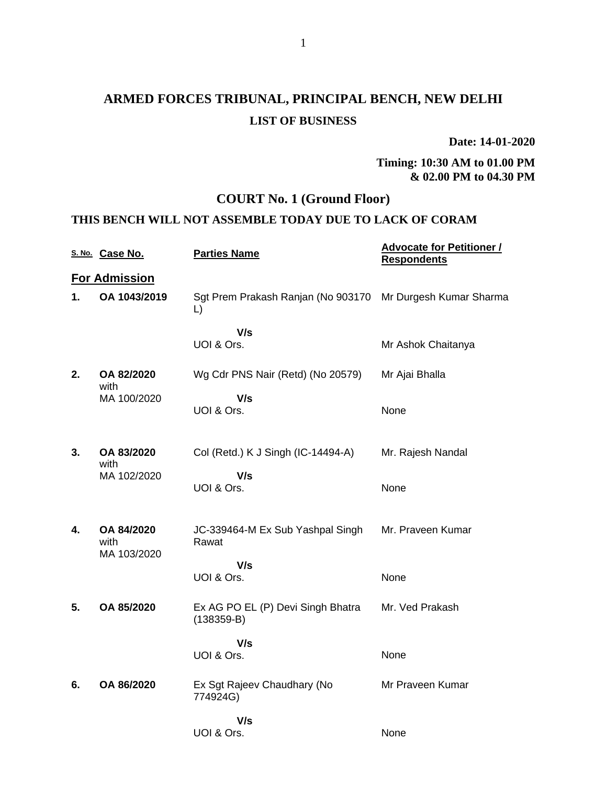## **ARMED FORCES TRIBUNAL, PRINCIPAL BENCH, NEW DELHI LIST OF BUSINESS**

**Date: 14-01-2020**

**Timing: 10:30 AM to 01.00 PM & 02.00 PM to 04.30 PM**

## **COURT No. 1 (Ground Floor)**

### **THIS BENCH WILL NOT ASSEMBLE TODAY DUE TO LACK OF CORAM**

|    | S. No. Case No.                   | <b>Parties Name</b>                                              | <b>Advocate for Petitioner /</b><br><b>Respondents</b> |
|----|-----------------------------------|------------------------------------------------------------------|--------------------------------------------------------|
|    | <b>For Admission</b>              |                                                                  |                                                        |
| 1. | OA 1043/2019                      | Sgt Prem Prakash Ranjan (No 903170 Mr Durgesh Kumar Sharma<br>L) |                                                        |
|    |                                   | V/s<br>UOI & Ors.                                                | Mr Ashok Chaitanya                                     |
| 2. | OA 82/2020<br>with                | Wg Cdr PNS Nair (Retd) (No 20579)                                | Mr Ajai Bhalla                                         |
|    | MA 100/2020                       | V/s<br>UOI & Ors.                                                | None                                                   |
| 3. | OA 83/2020<br>with                | Col (Retd.) K J Singh (IC-14494-A)                               | Mr. Rajesh Nandal                                      |
|    | MA 102/2020                       | V/s<br>UOI & Ors.                                                | None                                                   |
| 4. | OA 84/2020<br>with<br>MA 103/2020 | JC-339464-M Ex Sub Yashpal Singh<br>Rawat                        | Mr. Praveen Kumar                                      |
|    |                                   | V/s<br>UOI & Ors.                                                | None                                                   |
| 5. | OA 85/2020                        | Ex AG PO EL (P) Devi Singh Bhatra<br>$(138359-B)$                | Mr. Ved Prakash                                        |
|    |                                   | V/s<br>UOI & Ors.                                                | None                                                   |
| 6. | OA 86/2020                        | Ex Sgt Rajeev Chaudhary (No<br>774924G)                          | Mr Praveen Kumar                                       |
|    |                                   | V/s<br>UOI & Ors.                                                | None                                                   |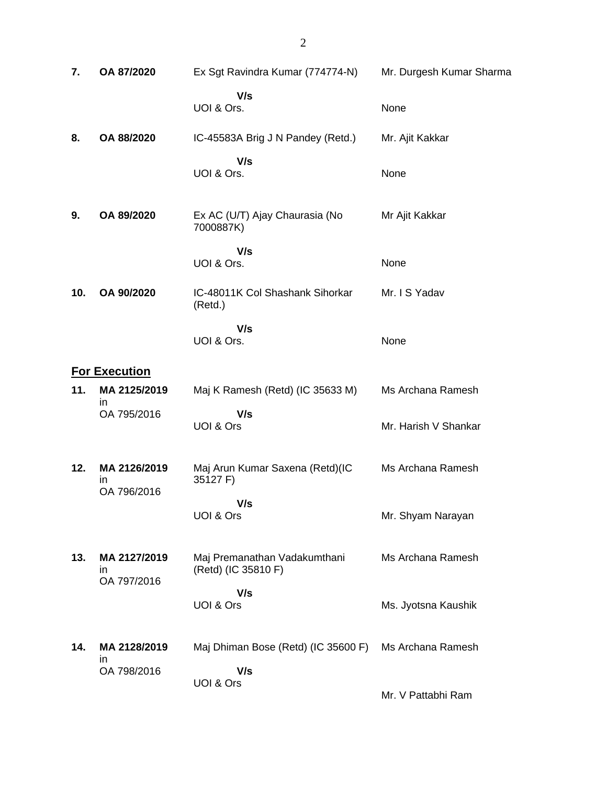| 7.  | OA 87/2020                        | Ex Sgt Ravindra Kumar (774774-N)                    | Mr. Durgesh Kumar Sharma |
|-----|-----------------------------------|-----------------------------------------------------|--------------------------|
|     |                                   | V/s<br>UOI & Ors.                                   | None                     |
| 8.  | OA 88/2020                        | IC-45583A Brig J N Pandey (Retd.)                   | Mr. Ajit Kakkar          |
|     |                                   | V/s<br>UOI & Ors.                                   | None                     |
| 9.  | OA 89/2020                        | Ex AC (U/T) Ajay Chaurasia (No<br>7000887K)         | Mr Ajit Kakkar           |
|     |                                   | V/s<br>UOI & Ors.                                   | None                     |
| 10. | OA 90/2020                        | IC-48011K Col Shashank Sihorkar<br>(Retd.)          | Mr. I S Yadav            |
|     |                                   | V/s<br>UOI & Ors.                                   | None                     |
|     | <b>For Execution</b>              |                                                     |                          |
| 11. | MA 2125/2019<br>in                | Maj K Ramesh (Retd) (IC 35633 M)                    | Ms Archana Ramesh        |
|     | OA 795/2016                       | V/s<br>UOI & Ors                                    | Mr. Harish V Shankar     |
| 12. | MA 2126/2019<br>in<br>OA 796/2016 | Maj Arun Kumar Saxena (Retd)(IC<br>35127 F)         | Ms Archana Ramesh        |
|     |                                   | V/s<br>UOI & Ors                                    | Mr. Shyam Narayan        |
| 13. | MA 2127/2019<br>in<br>OA 797/2016 | Maj Premanathan Vadakumthani<br>(Retd) (IC 35810 F) | Ms Archana Ramesh        |
|     |                                   | V/s<br>UOI & Ors                                    | Ms. Jyotsna Kaushik      |
| 14. | MA 2128/2019<br>in                | Maj Dhiman Bose (Retd) (IC 35600 F)                 | Ms Archana Ramesh        |
|     | OA 798/2016                       | V/s<br>UOI & Ors                                    | Mr. V Pattabhi Ram       |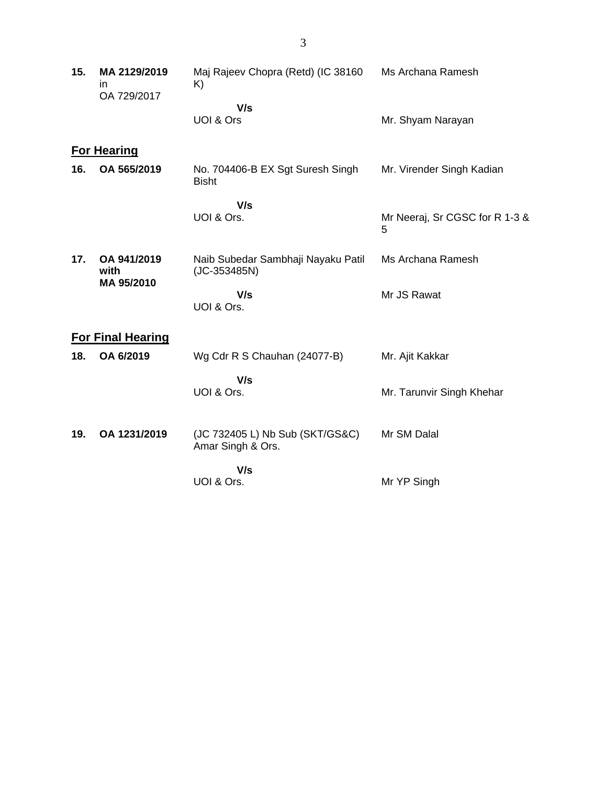| 15. | MA 2129/2019<br>in<br>OA 729/2017 | Maj Rajeev Chopra (Retd) (IC 38160<br>K)             | Ms Archana Ramesh                   |
|-----|-----------------------------------|------------------------------------------------------|-------------------------------------|
|     |                                   | V/s<br>UOI & Ors                                     | Mr. Shyam Narayan                   |
|     | <b>For Hearing</b>                |                                                      |                                     |
| 16. | OA 565/2019                       | No. 704406-B EX Sgt Suresh Singh<br><b>Bisht</b>     | Mr. Virender Singh Kadian           |
|     |                                   | V/s<br>UOI & Ors.                                    | Mr Neeraj, Sr CGSC for R 1-3 &<br>5 |
| 17. | OA 941/2019<br>with<br>MA 95/2010 | Naib Subedar Sambhaji Nayaku Patil<br>(JC-353485N)   | Ms Archana Ramesh                   |
|     |                                   | V/s<br>UOI & Ors.                                    | Mr JS Rawat                         |
|     | <b>For Final Hearing</b>          |                                                      |                                     |
| 18. | OA 6/2019                         | Wg Cdr R S Chauhan (24077-B)                         | Mr. Ajit Kakkar                     |
|     |                                   | V/s<br>UOI & Ors.                                    | Mr. Tarunvir Singh Khehar           |
| 19. | OA 1231/2019                      | (JC 732405 L) Nb Sub (SKT/GS&C)<br>Amar Singh & Ors. | Mr SM Dalal                         |
|     |                                   | V/s<br>UOI & Ors.                                    | Mr YP Singh                         |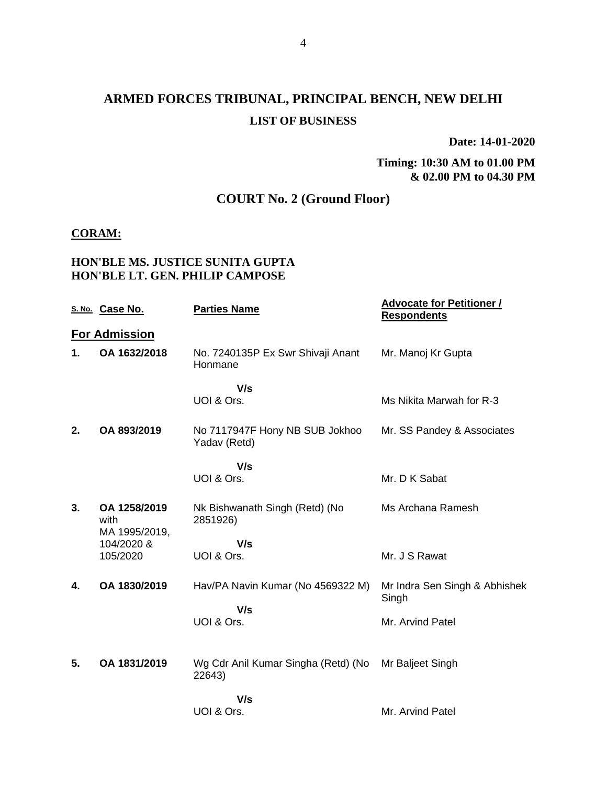## **ARMED FORCES TRIBUNAL, PRINCIPAL BENCH, NEW DELHI LIST OF BUSINESS**

**Date: 14-01-2020**

#### **Timing: 10:30 AM to 01.00 PM & 02.00 PM to 04.30 PM**

## **COURT No. 2 (Ground Floor)**

#### **CORAM:**

### **HON'BLE MS. JUSTICE SUNITA GUPTA HON'BLE LT. GEN. PHILIP CAMPOSE**

|    | S. No. Case No.                       | <b>Parties Name</b>                            | <b>Advocate for Petitioner /</b><br><b>Respondents</b> |
|----|---------------------------------------|------------------------------------------------|--------------------------------------------------------|
|    | <b>For Admission</b>                  |                                                |                                                        |
| 1. | OA 1632/2018                          | No. 7240135P Ex Swr Shivaji Anant<br>Honmane   | Mr. Manoj Kr Gupta                                     |
|    |                                       | V/s<br>UOI & Ors.                              | Ms Nikita Marwah for R-3                               |
| 2. | OA 893/2019                           | No 7117947F Hony NB SUB Jokhoo<br>Yadav (Retd) | Mr. SS Pandey & Associates                             |
|    |                                       | V/s                                            |                                                        |
|    |                                       | UOI & Ors.                                     | Mr. D K Sabat                                          |
| 3. | OA 1258/2019<br>with<br>MA 1995/2019, | Nk Bishwanath Singh (Retd) (No<br>2851926)     | Ms Archana Ramesh                                      |
|    | 104/2020 &                            | V/s                                            |                                                        |
|    | 105/2020                              | UOI & Ors.                                     | Mr. J S Rawat                                          |
| 4. | OA 1830/2019                          | Hav/PA Navin Kumar (No 4569322 M)              | Mr Indra Sen Singh & Abhishek<br>Singh                 |
|    |                                       | V/s<br>UOI & Ors.                              | Mr. Arvind Patel                                       |
| 5. | OA 1831/2019                          | Wg Cdr Anil Kumar Singha (Retd) (No<br>22643)  | Mr Baljeet Singh                                       |
|    |                                       | V/s<br>UOI & Ors.                              | Mr. Arvind Patel                                       |
|    |                                       |                                                |                                                        |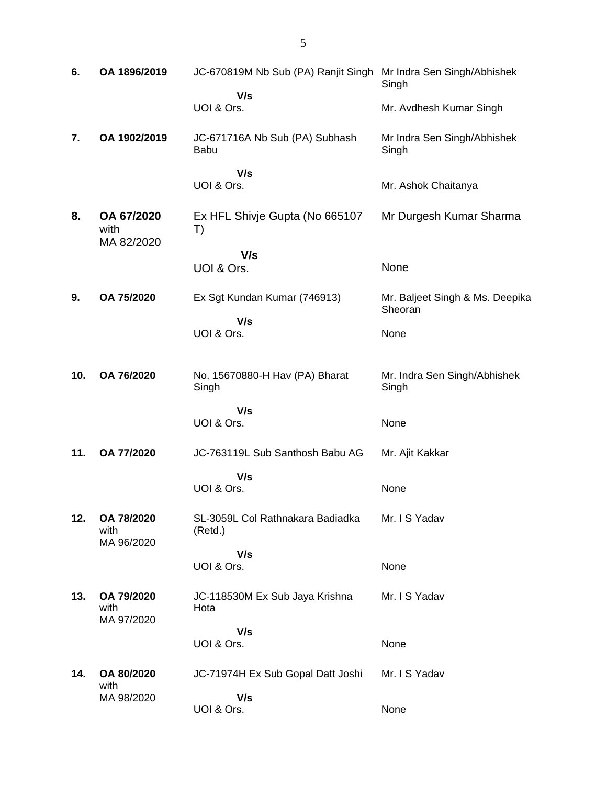| 6.  | OA 1896/2019                     | JC-670819M Nb Sub (PA) Ranjit Singh Mr Indra Sen Singh/Abhishek | Singh                                      |
|-----|----------------------------------|-----------------------------------------------------------------|--------------------------------------------|
|     |                                  | V/s<br>UOI & Ors.                                               | Mr. Avdhesh Kumar Singh                    |
| 7.  | OA 1902/2019                     | JC-671716A Nb Sub (PA) Subhash<br><b>Babu</b>                   | Mr Indra Sen Singh/Abhishek<br>Singh       |
|     |                                  | V/s<br>UOI & Ors.                                               | Mr. Ashok Chaitanya                        |
| 8.  | OA 67/2020<br>with<br>MA 82/2020 | Ex HFL Shivje Gupta (No 665107<br>T)                            | Mr Durgesh Kumar Sharma                    |
|     |                                  | V/s                                                             |                                            |
|     |                                  | UOI & Ors.                                                      | None                                       |
| 9.  | OA 75/2020                       | Ex Sgt Kundan Kumar (746913)                                    | Mr. Baljeet Singh & Ms. Deepika<br>Sheoran |
|     |                                  | V/s<br>UOI & Ors.                                               | None                                       |
| 10. | OA 76/2020                       | No. 15670880-H Hav (PA) Bharat<br>Singh                         | Mr. Indra Sen Singh/Abhishek<br>Singh      |
|     |                                  | V/s<br>UOI & Ors.                                               |                                            |
|     |                                  |                                                                 | None                                       |
| 11. | OA 77/2020                       | JC-763119L Sub Santhosh Babu AG                                 | Mr. Ajit Kakkar                            |
|     |                                  | V/s<br>UOI & Ors.                                               | None                                       |
| 12. | OA 78/2020<br>with<br>MA 96/2020 | SL-3059L Col Rathnakara Badiadka<br>(Retd.)                     | Mr. I S Yadav                              |
|     |                                  | V/s                                                             |                                            |
|     |                                  | UOI & Ors.                                                      | None                                       |
| 13. |                                  |                                                                 |                                            |
|     | OA 79/2020<br>with               | JC-118530M Ex Sub Jaya Krishna<br>Hota                          | Mr. I S Yadav                              |
|     | MA 97/2020                       | V/s                                                             |                                            |
|     |                                  | UOI & Ors.                                                      | None                                       |
| 14. | OA 80/2020<br>with<br>MA 98/2020 | JC-71974H Ex Sub Gopal Datt Joshi<br>V/s                        | Mr. I S Yadav                              |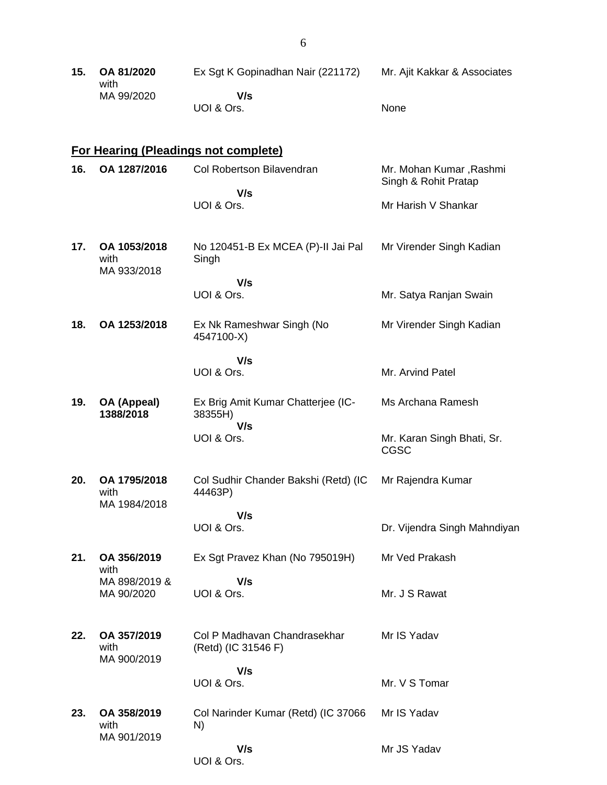| 15. OA 81/2020<br>with | Ex Sqt K Gopinadhan Nair (221172) | Mr. Ajit Kakkar & Associates |
|------------------------|-----------------------------------|------------------------------|
| MA 99/2020             | V/s<br>UOI & Ors.                 | <b>None</b>                  |
|                        |                                   |                              |

#### **For Hearing (Pleadings not complete)**

| 16. | OA 1287/2016                        | Col Robertson Bilavendran                     | Mr. Mohan Kumar , Rashmi<br>Singh & Rohit Pratap |
|-----|-------------------------------------|-----------------------------------------------|--------------------------------------------------|
|     |                                     | V/s<br>UOI & Ors.                             | Mr Harish V Shankar                              |
| 17. | OA 1053/2018<br>with<br>MA 933/2018 | No 120451-B Ex MCEA (P)-II Jai Pal<br>Singh   | Mr Virender Singh Kadian                         |
|     |                                     | V/s<br>UOI & Ors.                             | Mr. Satya Ranjan Swain                           |
| 18. | OA 1253/2018                        | Ex Nk Rameshwar Singh (No<br>4547100-X)       | Mr Virender Singh Kadian                         |
|     |                                     | V/s<br>UOI & Ors.                             | Mr. Arvind Patel                                 |
| 19. | OA (Appeal)<br>1388/2018            | Ex Brig Amit Kumar Chatterjee (IC-<br>38355H) | Ms Archana Ramesh                                |

**1388/2018 V/s** UOI & Ors. Mr. Karan Singh Bhati, Sr. CGSC **20. OA 1795/2018** with Col Sudhir Chander Bakshi (Retd) (IC 44463P) Mr Rajendra Kumar

> **V/s** UOI & Ors.

MA 1984/2018

**21. OA 356/2019** with MA 898/2019 & MA 90/2020 Ex Sgt Pravez Khan (No 795019H)  **V/s** UOI & Ors. Mr Ved Prakash Mr. J S Rawat

**22. OA 357/2019** with MA 900/2019 Col P Madhavan Chandrasekhar (Retd) (IC 31546 F) Mr IS Yadav

 **V/s** UOI & Ors. Mr. V S Tomar

Dr. Vijendra Singh Mahndiyan

**23. OA 358/2019** with MA 901/2019 Col Narinder Kumar (Retd) (IC 37066 N)  **V/s** Mr IS Yadav Mr JS Yadav

UOI & Ors.

6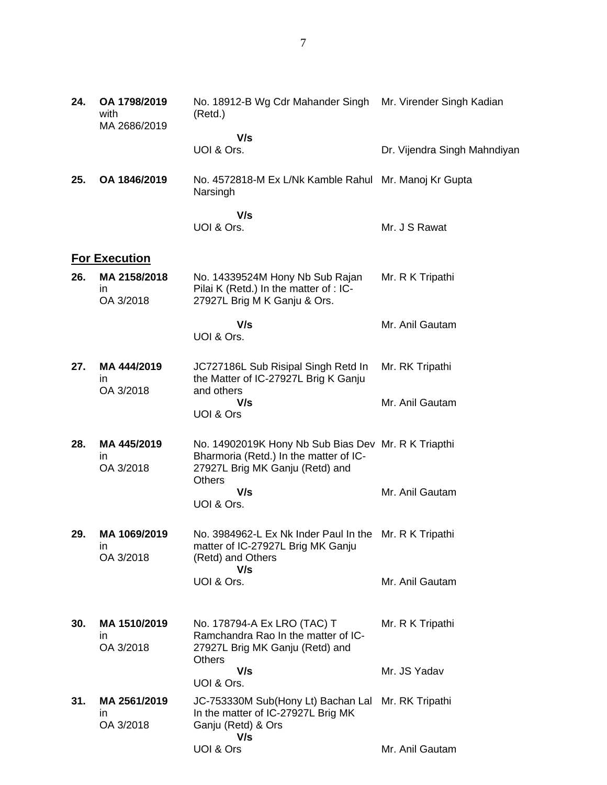| 24. | OA 1798/2019<br>with<br>MA 2686/2019 | No. 18912-B Wg Cdr Mahander Singh<br>(Retd.)                                                                                               | Mr. Virender Singh Kadian    |
|-----|--------------------------------------|--------------------------------------------------------------------------------------------------------------------------------------------|------------------------------|
|     |                                      | V/s<br>UOI & Ors.                                                                                                                          | Dr. Vijendra Singh Mahndiyan |
| 25. | OA 1846/2019                         | No. 4572818-M Ex L/Nk Kamble Rahul Mr. Manoj Kr Gupta<br>Narsingh                                                                          |                              |
|     |                                      | V/s<br>UOI & Ors.                                                                                                                          | Mr. J S Rawat                |
|     | <b>For Execution</b>                 |                                                                                                                                            |                              |
| 26. | MA 2158/2018<br>ın<br>OA 3/2018      | No. 14339524M Hony Nb Sub Rajan<br>Pilai K (Retd.) In the matter of : IC-<br>27927L Brig M K Ganju & Ors.                                  | Mr. R K Tripathi             |
|     |                                      | V/s<br>UOI & Ors.                                                                                                                          | Mr. Anil Gautam              |
| 27. | MA 444/2019<br>ın<br>OA 3/2018       | JC727186L Sub Risipal Singh Retd In<br>the Matter of IC-27927L Brig K Ganju<br>and others                                                  | Mr. RK Tripathi              |
|     |                                      | V/s<br>UOI & Ors                                                                                                                           | Mr. Anil Gautam              |
| 28. | MA 445/2019<br>ın<br>OA 3/2018       | No. 14902019K Hony Nb Sub Bias Dev Mr. R K Triapthi<br>Bharmoria (Retd.) In the matter of IC-<br>27927L Brig MK Ganju (Retd) and<br>Others |                              |
|     |                                      | V/s<br>UOI & Ors.                                                                                                                          | Mr. Anil Gautam              |
| 29. | MA 1069/2019<br>in<br>OA 3/2018      | No. 3984962-L Ex Nk Inder Paul In the Mr. R K Tripathi<br>matter of IC-27927L Brig MK Ganju<br>(Retd) and Others                           |                              |
|     |                                      | V/s<br>UOI & Ors.                                                                                                                          | Mr. Anil Gautam              |
| 30. | MA 1510/2019<br>ın<br>OA 3/2018      | No. 178794-A Ex LRO (TAC) T<br>Ramchandra Rao In the matter of IC-<br>27927L Brig MK Ganju (Retd) and<br><b>Others</b>                     | Mr. R K Tripathi             |
|     |                                      | V/s                                                                                                                                        | Mr. JS Yadav                 |
| 31. | MA 2561/2019                         | UOI & Ors.<br>JC-753330M Sub(Hony Lt) Bachan Lal                                                                                           | Mr. RK Tripathi              |
|     | ın<br>OA 3/2018                      | In the matter of IC-27927L Brig MK<br>Ganju (Retd) & Ors<br>V/s                                                                            |                              |
|     |                                      | UOI & Ors                                                                                                                                  | Mr. Anil Gautam              |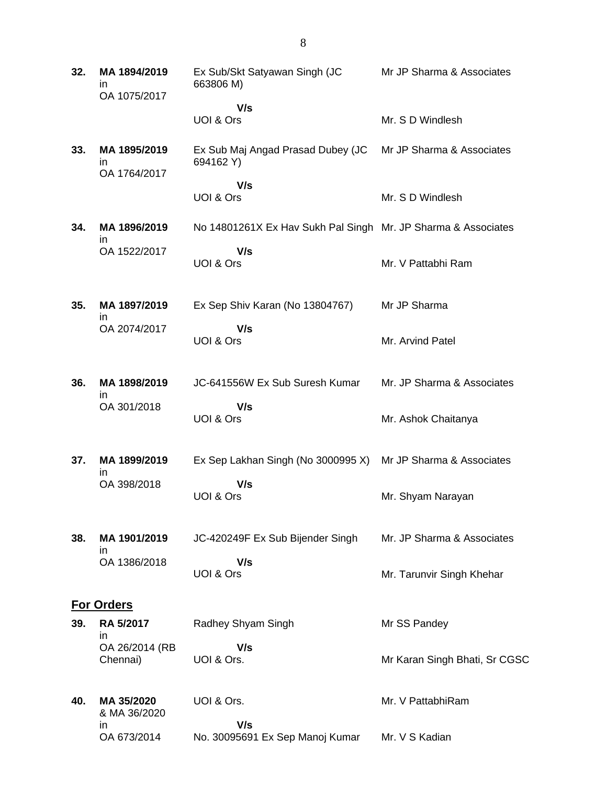| 32. | MA 1894/2019<br>ın<br>OA 1075/2017 | Ex Sub/Skt Satyawan Singh (JC<br>663806 M)                    | Mr JP Sharma & Associates     |
|-----|------------------------------------|---------------------------------------------------------------|-------------------------------|
|     |                                    | V/s                                                           |                               |
|     |                                    | UOI & Ors                                                     | Mr. S D Windlesh              |
| 33. | MA 1895/2019<br>in<br>OA 1764/2017 | Ex Sub Maj Angad Prasad Dubey (JC<br>694162 Y)                | Mr JP Sharma & Associates     |
|     |                                    | V/s<br>UOI & Ors                                              | Mr. S D Windlesh              |
| 34. | MA 1896/2019<br>ın                 | No 14801261X Ex Hav Sukh Pal Singh Mr. JP Sharma & Associates |                               |
|     | OA 1522/2017                       | V/s<br>UOI & Ors                                              | Mr. V Pattabhi Ram            |
| 35. | MA 1897/2019                       | Ex Sep Shiv Karan (No 13804767)                               | Mr JP Sharma                  |
|     | in<br>OA 2074/2017                 | V/s<br>UOI & Ors                                              | Mr. Arvind Patel              |
| 36. | MA 1898/2019<br>in                 | JC-641556W Ex Sub Suresh Kumar                                | Mr. JP Sharma & Associates    |
|     | OA 301/2018                        | V/s<br><b>UOI &amp; Ors</b>                                   | Mr. Ashok Chaitanya           |
| 37. | MA 1899/2019<br>in                 | Ex Sep Lakhan Singh (No 3000995 X)                            | Mr JP Sharma & Associates     |
|     | OA 398/2018                        | V/s<br><b>UOI &amp; Ors</b>                                   | Mr. Shyam Narayan             |
| 38. | MA 1901/2019<br>in                 | JC-420249F Ex Sub Bijender Singh                              | Mr. JP Sharma & Associates    |
|     | OA 1386/2018                       | V/s<br>UOI & Ors                                              | Mr. Tarunvir Singh Khehar     |
|     | <b>For Orders</b>                  |                                                               |                               |
| 39. | RA 5/2017<br>in                    | Radhey Shyam Singh                                            | Mr SS Pandey                  |
|     | OA 26/2014 (RB<br>Chennai)         | V/s<br>UOI & Ors.                                             | Mr Karan Singh Bhati, Sr CGSC |
| 40. | MA 35/2020<br>& MA 36/2020         | UOI & Ors.                                                    | Mr. V PattabhiRam             |
|     | in<br>OA 673/2014                  | V/s<br>No. 30095691 Ex Sep Manoj Kumar                        | Mr. V S Kadian                |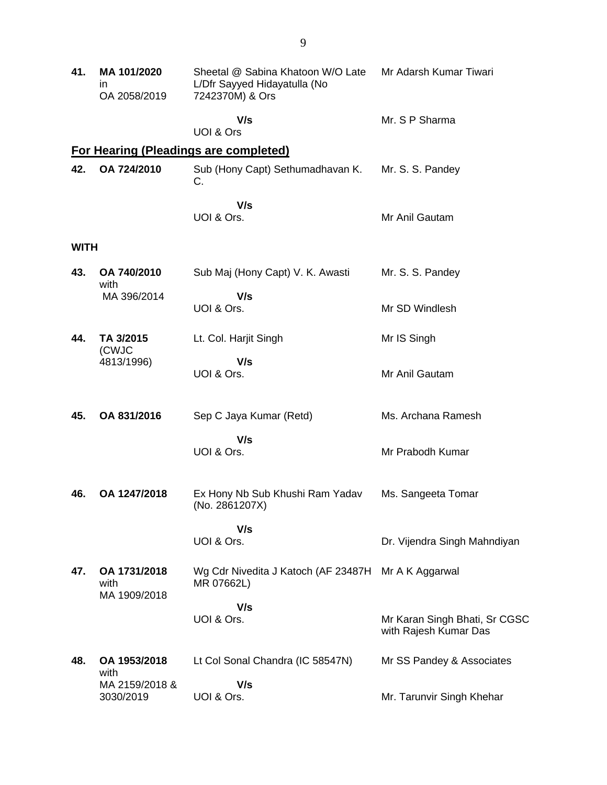| 41.         | MA 101/2020<br>ın<br>OA 2058/2019    | Sheetal @ Sabina Khatoon W/O Late<br>L/Dfr Sayyed Hidayatulla (No<br>7242370M) & Ors | Mr Adarsh Kumar Tiwari                                 |
|-------------|--------------------------------------|--------------------------------------------------------------------------------------|--------------------------------------------------------|
|             |                                      | V/s<br>UOI & Ors                                                                     | Mr. S P Sharma                                         |
|             |                                      | For Hearing (Pleadings are completed)                                                |                                                        |
| 42.         | OA 724/2010                          | Sub (Hony Capt) Sethumadhavan K.<br>С.                                               | Mr. S. S. Pandey                                       |
|             |                                      | V/s<br>UOI & Ors.                                                                    | Mr Anil Gautam                                         |
| <b>WITH</b> |                                      |                                                                                      |                                                        |
| 43.         | OA 740/2010<br>with                  | Sub Maj (Hony Capt) V. K. Awasti                                                     | Mr. S. S. Pandey                                       |
|             | MA 396/2014                          | V/s<br>UOI & Ors.                                                                    | Mr SD Windlesh                                         |
| 44.         | TA 3/2015<br>(CWJC                   | Lt. Col. Harjit Singh                                                                | Mr IS Singh                                            |
|             | 4813/1996)                           | V/s<br>UOI & Ors.                                                                    | Mr Anil Gautam                                         |
| 45.         | OA 831/2016                          | Sep C Jaya Kumar (Retd)                                                              | Ms. Archana Ramesh                                     |
|             |                                      | V/s<br>UOI & Ors.                                                                    | Mr Prabodh Kumar                                       |
| 46.         | OA 1247/2018                         | Ex Hony Nb Sub Khushi Ram Yadav<br>(No. 2861207X)                                    | Ms. Sangeeta Tomar                                     |
|             |                                      | V/s<br>UOI & Ors.                                                                    | Dr. Vijendra Singh Mahndiyan                           |
| 47.         | OA 1731/2018<br>with<br>MA 1909/2018 | Wg Cdr Nivedita J Katoch (AF 23487H Mr A K Aggarwal<br>MR 07662L)                    |                                                        |
|             |                                      | V/s<br>UOI & Ors.                                                                    | Mr Karan Singh Bhati, Sr CGSC<br>with Rajesh Kumar Das |
| 48.         | OA 1953/2018<br>with                 | Lt Col Sonal Chandra (IC 58547N)                                                     | Mr SS Pandey & Associates                              |
|             | MA 2159/2018 &<br>3030/2019          | V/s<br>UOI & Ors.                                                                    | Mr. Tarunvir Singh Khehar                              |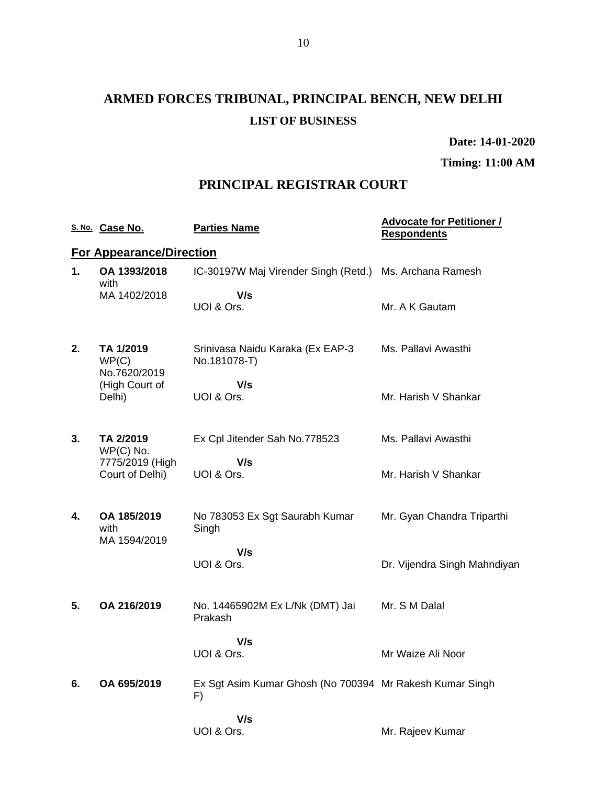# **ARMED FORCES TRIBUNAL, PRINCIPAL BENCH, NEW DELHI LIST OF BUSINESS**

**Date: 14-01-2020**

**Timing: 11:00 AM**

### **PRINCIPAL REGISTRAR COURT**

|    | S. No. Case No.                     | <b>Parties Name</b>                                            | <b>Advocate for Petitioner /</b><br><b>Respondents</b> |
|----|-------------------------------------|----------------------------------------------------------------|--------------------------------------------------------|
|    | <b>For Appearance/Direction</b>     |                                                                |                                                        |
| 1. | OA 1393/2018<br>with                | IC-30197W Maj Virender Singh (Retd.) Ms. Archana Ramesh        |                                                        |
|    | MA 1402/2018                        | V/s<br>UOI & Ors.                                              | Mr. A K Gautam                                         |
| 2. | TA 1/2019<br>WP(C)<br>No.7620/2019  | Srinivasa Naidu Karaka (Ex EAP-3<br>No.181078-T)               | Ms. Pallavi Awasthi                                    |
|    | (High Court of<br>Delhi)            | V/s<br>UOI & Ors.                                              | Mr. Harish V Shankar                                   |
| 3. | TA 2/2019<br>$WP(C)$ No.            | Ex Cpl Jitender Sah No.778523                                  | Ms. Pallavi Awasthi                                    |
|    | 7775/2019 (High<br>Court of Delhi)  | V/s<br>UOI & Ors.                                              | Mr. Harish V Shankar                                   |
| 4. | OA 185/2019<br>with<br>MA 1594/2019 | No 783053 Ex Sgt Saurabh Kumar<br>Singh                        | Mr. Gyan Chandra Triparthi                             |
|    |                                     | V/s<br>UOI & Ors.                                              | Dr. Vijendra Singh Mahndiyan                           |
| 5. | OA 216/2019                         | No. 14465902M Ex L/Nk (DMT) Jai<br>Prakash                     | Mr. S M Dalal                                          |
|    |                                     | V/s<br>UOI & Ors.                                              | Mr Waize Ali Noor                                      |
| 6. | OA 695/2019                         | Ex Sgt Asim Kumar Ghosh (No 700394 Mr Rakesh Kumar Singh<br>F) |                                                        |
|    |                                     | V/s<br>UOI & Ors.                                              | Mr. Rajeev Kumar                                       |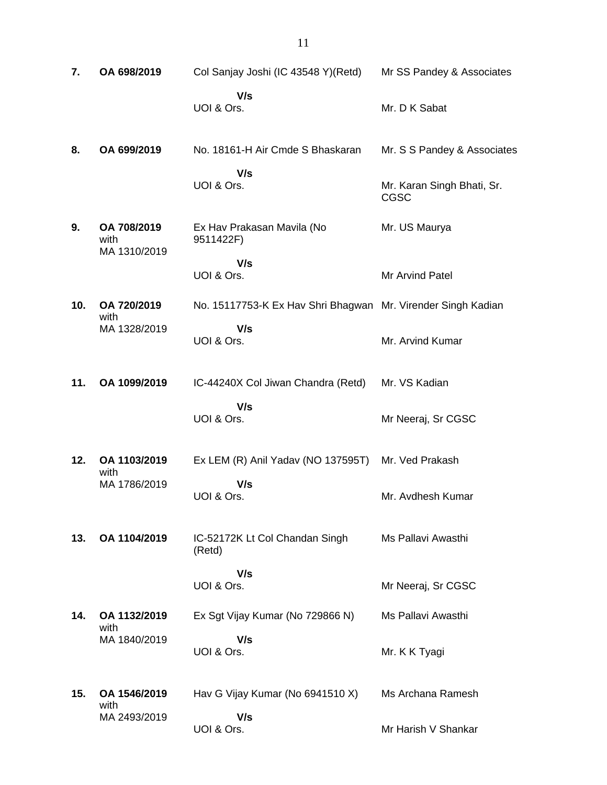| 7.  | OA 698/2019                         | Col Sanjay Joshi (IC 43548 Y)(Retd)                          | Mr SS Pandey & Associates                 |
|-----|-------------------------------------|--------------------------------------------------------------|-------------------------------------------|
|     |                                     | V/s<br>UOI & Ors.                                            | Mr. D K Sabat                             |
| 8.  | OA 699/2019                         | No. 18161-H Air Cmde S Bhaskaran                             | Mr. S S Pandey & Associates               |
|     |                                     | V/s<br>UOI & Ors.                                            | Mr. Karan Singh Bhati, Sr.<br><b>CGSC</b> |
| 9.  | OA 708/2019<br>with<br>MA 1310/2019 | Ex Hav Prakasan Mavila (No<br>9511422F)                      | Mr. US Maurya                             |
|     |                                     | V/s<br>UOI & Ors.                                            | Mr Arvind Patel                           |
| 10. | OA 720/2019<br>with                 | No. 15117753-K Ex Hav Shri Bhagwan Mr. Virender Singh Kadian |                                           |
|     | MA 1328/2019                        | V/s<br>UOI & Ors.                                            | Mr. Arvind Kumar                          |
| 11. | OA 1099/2019                        | IC-44240X Col Jiwan Chandra (Retd)                           | Mr. VS Kadian                             |
|     |                                     | V/s<br>UOI & Ors.                                            | Mr Neeraj, Sr CGSC                        |
| 12. | OA 1103/2019<br>with                | Ex LEM (R) Anil Yadav (NO 137595T)                           | Mr. Ved Prakash                           |
|     | MA 1786/2019                        | V/s<br>UOI & Ors.                                            | Mr. Avdhesh Kumar                         |
| 13. | OA 1104/2019                        | IC-52172K Lt Col Chandan Singh<br>(Retd)                     | Ms Pallavi Awasthi                        |
|     |                                     | V/s<br>UOI & Ors.                                            | Mr Neeraj, Sr CGSC                        |
| 14. | OA 1132/2019                        | Ex Sgt Vijay Kumar (No 729866 N)                             | Ms Pallavi Awasthi                        |
|     | with<br>MA 1840/2019                | V/s<br>UOI & Ors.                                            | Mr. K K Tyagi                             |
| 15. | OA 1546/2019<br>with                | Hav G Vijay Kumar (No 6941510 X)                             | Ms Archana Ramesh                         |
|     | MA 2493/2019                        | V/s<br>UOI & Ors.                                            | Mr Harish V Shankar                       |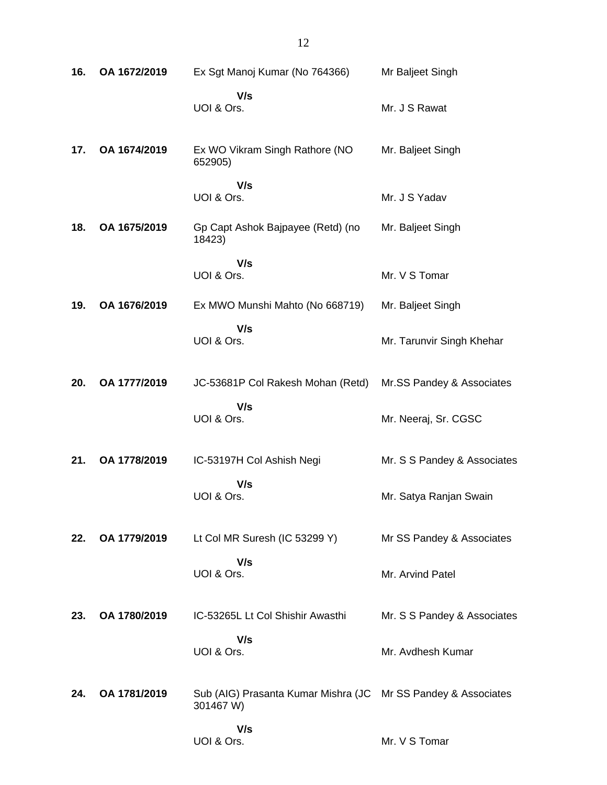| 16. | OA 1672/2019 | Ex Sgt Manoj Kumar (No 764366)                                             | Mr Baljeet Singh            |
|-----|--------------|----------------------------------------------------------------------------|-----------------------------|
|     |              | V/s<br>UOI & Ors.                                                          | Mr. J S Rawat               |
| 17. | OA 1674/2019 | Ex WO Vikram Singh Rathore (NO<br>652905)                                  | Mr. Baljeet Singh           |
|     |              | V/s<br>UOI & Ors.                                                          | Mr. J S Yadav               |
| 18. | OA 1675/2019 | Gp Capt Ashok Bajpayee (Retd) (no<br>18423)                                | Mr. Baljeet Singh           |
|     |              | V/s<br>UOI & Ors.                                                          | Mr. V S Tomar               |
| 19. | OA 1676/2019 | Ex MWO Munshi Mahto (No 668719)                                            | Mr. Baljeet Singh           |
|     |              | V/s<br>UOI & Ors.                                                          | Mr. Tarunvir Singh Khehar   |
| 20. | OA 1777/2019 | JC-53681P Col Rakesh Mohan (Retd)                                          | Mr.SS Pandey & Associates   |
|     |              | V/s<br>UOI & Ors.                                                          | Mr. Neeraj, Sr. CGSC        |
| 21. | OA 1778/2019 | IC-53197H Col Ashish Negi                                                  | Mr. S S Pandey & Associates |
|     |              | V/s<br>UOI & Ors.                                                          | Mr. Satya Ranjan Swain      |
| 22. | OA 1779/2019 | Lt Col MR Suresh (IC 53299 Y)                                              | Mr SS Pandey & Associates   |
|     |              | V/s<br>UOI & Ors.                                                          | Mr. Arvind Patel            |
| 23. | OA 1780/2019 | IC-53265L Lt Col Shishir Awasthi                                           | Mr. S S Pandey & Associates |
|     |              | V/s<br>UOI & Ors.                                                          | Mr. Avdhesh Kumar           |
| 24. | OA 1781/2019 | Sub (AIG) Prasanta Kumar Mishra (JC Mr SS Pandey & Associates<br>301467 W) |                             |
|     |              | V/s<br>UOI & Ors.                                                          | Mr. V S Tomar               |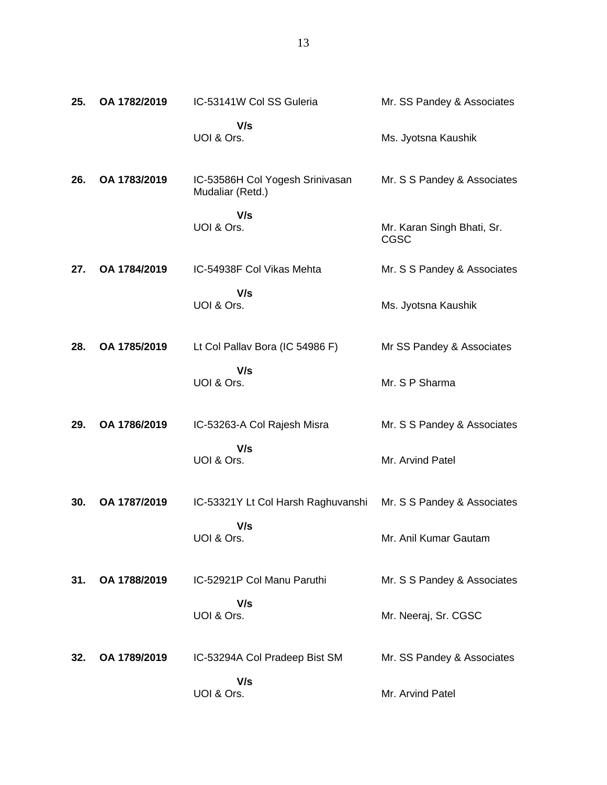| 25. | OA 1782/2019 | IC-53141W Col SS Guleria                            | Mr. SS Pandey & Associates         |
|-----|--------------|-----------------------------------------------------|------------------------------------|
|     |              | V/s<br>UOI & Ors.                                   | Ms. Jyotsna Kaushik                |
| 26. | OA 1783/2019 | IC-53586H Col Yogesh Srinivasan<br>Mudaliar (Retd.) | Mr. S S Pandey & Associates        |
|     |              | V/s<br>UOI & Ors.                                   | Mr. Karan Singh Bhati, Sr.<br>CGSC |
| 27. | OA 1784/2019 | IC-54938F Col Vikas Mehta                           | Mr. S S Pandey & Associates        |
|     |              | V/s<br>UOI & Ors.                                   | Ms. Jyotsna Kaushik                |
| 28. | OA 1785/2019 | Lt Col Pallav Bora (IC 54986 F)                     | Mr SS Pandey & Associates          |
|     |              | V/s<br>UOI & Ors.                                   | Mr. S P Sharma                     |
| 29. | OA 1786/2019 | IC-53263-A Col Rajesh Misra                         | Mr. S S Pandey & Associates        |
|     |              | V/s<br>UOI & Ors.                                   | Mr. Arvind Patel                   |
| 30. | OA 1787/2019 | IC-53321Y Lt Col Harsh Raghuvanshi                  | Mr. S S Pandey & Associates        |
|     |              | V/s<br>UOI & Ors.                                   | Mr. Anil Kumar Gautam              |
| 31. | OA 1788/2019 | IC-52921P Col Manu Paruthi                          | Mr. S S Pandey & Associates        |
|     |              | V/s<br>UOI & Ors.                                   | Mr. Neeraj, Sr. CGSC               |
| 32. | OA 1789/2019 | IC-53294A Col Pradeep Bist SM                       | Mr. SS Pandey & Associates         |
|     |              | V/s<br>UOI & Ors.                                   | Mr. Arvind Patel                   |